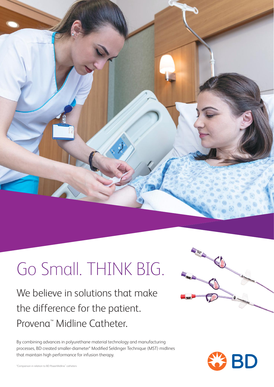

# Go Small. THINK BIG.

We believe in solutions that make the difference for the patient. Provena™ Midline Catheter.

By combining advances in polyurethane material technology and manufacturing processes, BD created smaller-diameter\* Modified Seldinger Technique (MST) midlines that maintain high performance for infusion therapy.



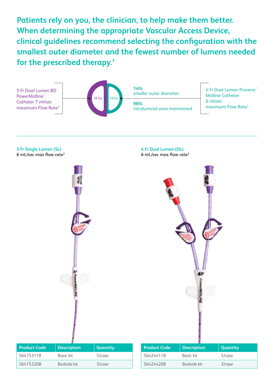**Patients rely on you, the clinician, to help make them better. When determining the appropriate Vascular Access Device, clinical guidelines recommend selecting the configuration with the smallest outer diameter and the fewest number of lumens needed for the prescribed therapy.1**



**3 Fr Single Lumen (SL) 6 mL/sec max flow rate3**



**4 Fr Dual Lumen (DL)**

**6 mL/sec max flow rate3**



| <b>Product Code</b> | <b>Description</b> | Quantity  |
|---------------------|--------------------|-----------|
| S64153118           | Basic kit          | 5/case    |
| S64153208           | Bedside kit        | $3/c$ ase |

| <b>Product Code</b> | <b>Description</b> | <b>Quantity</b> |
|---------------------|--------------------|-----------------|
| S64244118           | Basic kit          | $5/c$ ase       |
| S64244208           | Bedside kit        | $3/c$ ase       |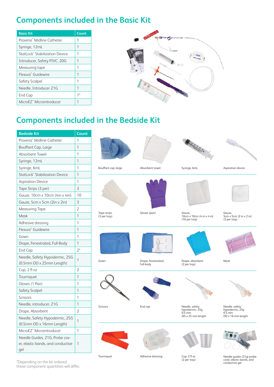# **Components included in the Basic Kit**

| <b>Basic Kit</b>                     | Count |
|--------------------------------------|-------|
| Provena" Midline Catheter            | 1     |
| Syringe, 12mL                        | 1     |
| StatLock™ Stabilization Device       | 1     |
| Introducer, Safety PIVC, 20G         | 1     |
| Measuring tape                       | 1     |
| Flexura" Guidewire                   | 1     |
| Safety Scalpel                       | 1     |
| Needle, Introducer 21G               | 1     |
| End Cap                              | 1*    |
| MicroEZ <sup>"</sup> Microintroducer |       |



## **Components included in the Bedside Kit**

| <b>Bedside Kit</b>                                                         | Count          |
|----------------------------------------------------------------------------|----------------|
| Provena" Midline Catheter                                                  | 1              |
| Bouffant Cap, Large                                                        | 1              |
| Absorbent Towel                                                            | 1              |
| Syringe, 12mL                                                              | 1              |
| Syringe, 6mL                                                               | 1              |
| StatLock™ Stabilization Device                                             | 1              |
| <b>Aspiration Device</b>                                                   | 1              |
| Tape Strips (3 per)                                                        | 3              |
| Gauze, 10cm x 10cm (4in x 4in)                                             | 10             |
| Gauze, 5cm x 5cm (2in x 2in)                                               | 3              |
| <b>Measuring Tape</b>                                                      | $\overline{2}$ |
| Mask                                                                       | 1              |
| Adhesive dressing                                                          | 1              |
| Flexura" Guidewire                                                         | 1              |
| Gown                                                                       | 1              |
| Drape, Fenestrated, Full-Body                                              | 1              |
| End Cap                                                                    | $2^*$          |
| Needle, Safety Hypodermic, 25G                                             | 1              |
| (0.5mm OD x 25mm Length)                                                   |                |
| Cup, 2 fl oz                                                               | $\overline{2}$ |
| Tourniquet                                                                 | 1              |
| Gloves (1 Pair)                                                            | 1              |
| Safety Scalpel                                                             | 1              |
| <b>Scissors</b>                                                            | 1              |
| Needle, introducer, 21G                                                    | 1              |
| Drape, Absorbent                                                           | $\overline{2}$ |
| Needle, Safety Hypodermic, 25G<br>(0.5mm OD x 16mm Length)                 | 1              |
| MicroEZ <sup>™</sup> Microintroducer                                       | 1              |
| Needle Guides, 21G, Probe cov-<br>er, elastic bands, and conductive<br>gel | 1              |



\*Depending on the kit ordered, these component quantities will differ.